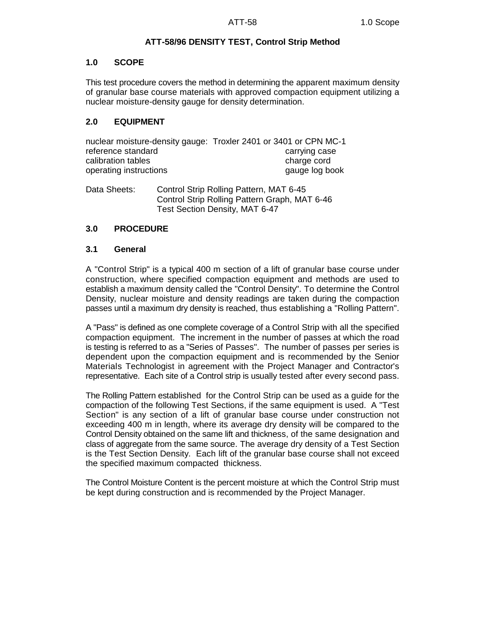# **ATT-58/96 DENSITY TEST, Control Strip Method**

## **1.0 SCOPE**

This test procedure covers the method in determining the apparent maximum density of granular base course materials with approved compaction equipment utilizing a nuclear moisture-density gauge for density determination.

# **2.0 EQUIPMENT**

nuclear moisture-density gauge: Troxler 2401 or 3401 or CPN MC-1 reference standard and carrying case calibration tables charge cord operating instructions and the state of the state of the state of the state of the state of the state of the state of the state of the state of the state of the state of the state of the state of the state of the state of

Data Sheets: Control Strip Rolling Pattern, MAT 6-45 Control Strip Rolling Pattern Graph, MAT 6-46 Test Section Density, MAT 6-47

# **3.0 PROCEDURE**

### **3.1 General**

A "Control Strip" is a typical 400 m section of a lift of granular base course under construction, where specified compaction equipment and methods are used to establish a maximum density called the "Control Density". To determine the Control Density, nuclear moisture and density readings are taken during the compaction passes until a maximum dry density is reached, thus establishing a "Rolling Pattern".

A "Pass" is defined as one complete coverage of a Control Strip with all the specified compaction equipment. The increment in the number of passes at which the road is testing is referred to as a "Series of Passes". The number of passes per series is dependent upon the compaction equipment and is recommended by the Senior Materials Technologist in agreement with the Project Manager and Contractor's representative. Each site of a Control strip is usually tested after every second pass.

The Rolling Pattern established for the Control Strip can be used as a guide for the compaction of the following Test Sections, if the same equipment is used. A "Test Section" is any section of a lift of granular base course under construction not exceeding 400 m in length, where its average dry density will be compared to the Control Density obtained on the same lift and thickness, of the same designation and class of aggregate from the same source. The average dry density of a Test Section is the Test Section Density. Each lift of the granular base course shall not exceed the specified maximum compacted thickness.

The Control Moisture Content is the percent moisture at which the Control Strip must be kept during construction and is recommended by the Project Manager.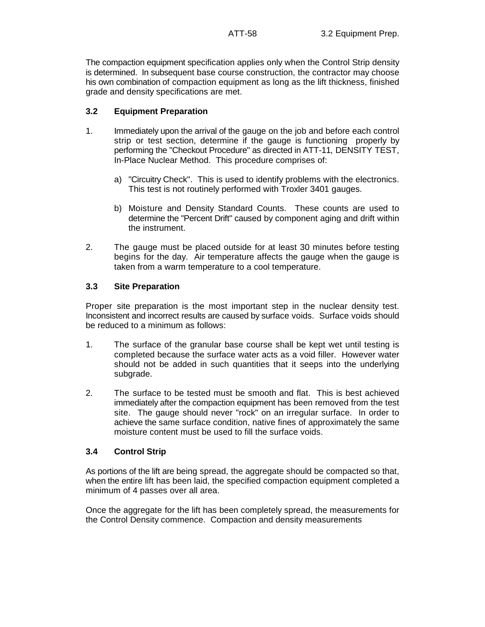The compaction equipment specification applies only when the Control Strip density is determined. In subsequent base course construction, the contractor may choose his own combination of compaction equipment as long as the lift thickness, finished grade and density specifications are met.

## **3.2 Equipment Preparation**

- 1. Immediately upon the arrival of the gauge on the job and before each control strip or test section, determine if the gauge is functioning properly by performing the "Checkout Procedure" as directed in ATT-11, DENSITY TEST, In-Place Nuclear Method. This procedure comprises of:
	- a) "Circuitry Check". This is used to identify problems with the electronics. This test is not routinely performed with Troxler 3401 gauges.
	- b) Moisture and Density Standard Counts. These counts are used to determine the "Percent Drift" caused by component aging and drift within the instrument.
- 2. The gauge must be placed outside for at least 30 minutes before testing begins for the day. Air temperature affects the gauge when the gauge is taken from a warm temperature to a cool temperature.

### **3.3 Site Preparation**

Proper site preparation is the most important step in the nuclear density test. Inconsistent and incorrect results are caused by surface voids. Surface voids should be reduced to a minimum as follows:

- 1. The surface of the granular base course shall be kept wet until testing is completed because the surface water acts as a void filler. However water should not be added in such quantities that it seeps into the underlying subgrade.
- 2. The surface to be tested must be smooth and flat. This is best achieved immediately after the compaction equipment has been removed from the test site. The gauge should never "rock" on an irregular surface. In order to achieve the same surface condition, native fines of approximately the same moisture content must be used to fill the surface voids.

# **3.4 Control Strip**

As portions of the lift are being spread, the aggregate should be compacted so that, when the entire lift has been laid, the specified compaction equipment completed a minimum of 4 passes over all area.

Once the aggregate for the lift has been completely spread, the measurements for the Control Density commence. Compaction and density measurements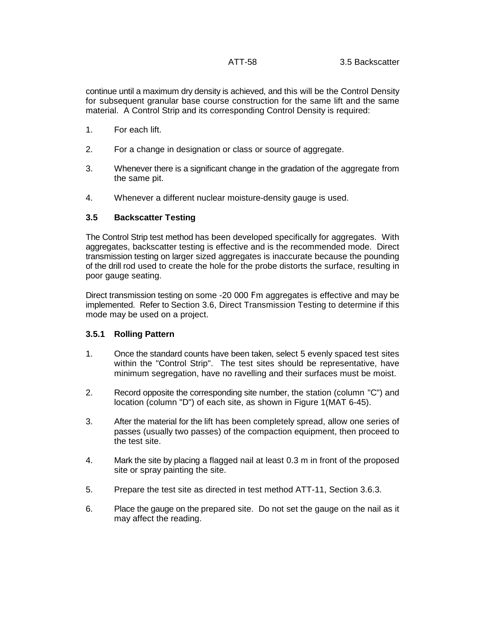continue until a maximum dry density is achieved, and this will be the Control Density for subsequent granular base course construction for the same lift and the same material. A Control Strip and its corresponding Control Density is required:

- 1. For each lift.
- 2. For a change in designation or class or source of aggregate.
- 3. Whenever there is a significant change in the gradation of the aggregate from the same pit.
- 4. Whenever a different nuclear moisture-density gauge is used.

# **3.5 Backscatter Testing**

The Control Strip test method has been developed specifically for aggregates. With aggregates, backscatter testing is effective and is the recommended mode. Direct transmission testing on larger sized aggregates is inaccurate because the pounding of the drill rod used to create the hole for the probe distorts the surface, resulting in poor gauge seating.

Direct transmission testing on some -20 000 Fm aggregates is effective and may be implemented. Refer to Section 3.6, Direct Transmission Testing to determine if this mode may be used on a project.

### **3.5.1 Rolling Pattern**

- 1. Once the standard counts have been taken, select 5 evenly spaced test sites within the "Control Strip". The test sites should be representative, have minimum segregation, have no ravelling and their surfaces must be moist.
- 2. Record opposite the corresponding site number, the station (column "C") and location (column "D") of each site, as shown in Figure 1(MAT 6-45).
- 3. After the material for the lift has been completely spread, allow one series of passes (usually two passes) of the compaction equipment, then proceed to the test site.
- 4. Mark the site by placing a flagged nail at least 0.3 m in front of the proposed site or spray painting the site.
- 5. Prepare the test site as directed in test method ATT-11, Section 3.6.3.
- 6. Place the gauge on the prepared site. Do not set the gauge on the nail as it may affect the reading.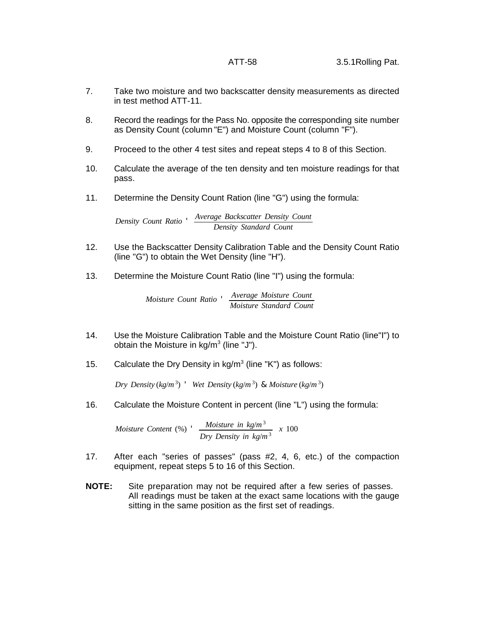- 7. Take two moisture and two backscatter density measurements as directed in test method ATT-11.
- 8. Record the readings for the Pass No. opposite the corresponding site number as Density Count (column "E") and Moisture Count (column "F").
- 9. Proceed to the other 4 test sites and repeat steps 4 to 8 of this Section.
- 10. Calculate the average of the ten density and ten moisture readings for that pass.
- 11. Determine the Density Count Ration (line "G") using the formula:

*Density Count Ratio* ' *Average Backscatter Density Count Density Standard Count*

- 12. Use the Backscatter Density Calibration Table and the Density Count Ratio (line "G") to obtain the Wet Density (line "H").
- 13. Determine the Moisture Count Ratio (line "I") using the formula:

*Moisture Count Ratio* ' *Average Moisture Count Moisture Standard Count*

- 14. Use the Moisture Calibration Table and the Moisture Count Ratio (line"I") to obtain the Moisture in  $kg/m<sup>3</sup>$  (line "J").
- 15. Calculate the Dry Density in  $kg/m<sup>3</sup>$  (line "K") as follows:

*Dry Density* (*kg*/ $m^3$ )  $'$  *Wet Density* (*kg*/ $m^3$ ) & *Moisture* (*kg*/ $m^3$ )

16. Calculate the Moisture Content in percent (line "L") using the formula:

*Moisture Content* (%) ' *Moisture in kg*/*m* 3 *Dry Density in*  $kg/m^3$  *x* 100

- 17. After each "series of passes" (pass #2, 4, 6, etc.) of the compaction equipment, repeat steps 5 to 16 of this Section.
- **NOTE:** Site preparation may not be required after a few series of passes. All readings must be taken at the exact same locations with the gauge sitting in the same position as the first set of readings.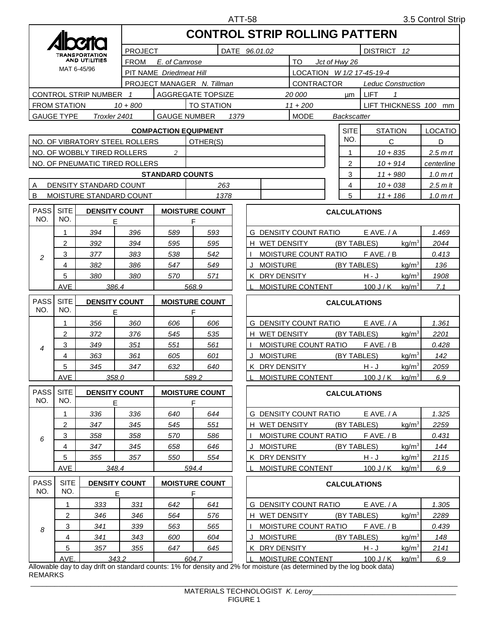|                                                          |                                        |                                     |                | <b>CONTROL STRIP ROLLING PATTERN</b>                |                            |             |                                                            |                                   |                                                        |                     |                     |                     |  |  |  |
|----------------------------------------------------------|----------------------------------------|-------------------------------------|----------------|-----------------------------------------------------|----------------------------|-------------|------------------------------------------------------------|-----------------------------------|--------------------------------------------------------|---------------------|---------------------|---------------------|--|--|--|
|                                                          |                                        |                                     | <b>PROJECT</b> |                                                     |                            | DISTRICT 12 |                                                            |                                   |                                                        |                     |                     |                     |  |  |  |
|                                                          | TRANSPORTATION<br><b>AND UTILITIES</b> |                                     |                | DATE 96.01.02<br><b>FROM</b><br>E. of Camrose<br>TO |                            |             |                                                            |                                   |                                                        | Jct of Hwy 26       |                     |                     |  |  |  |
|                                                          | MAT 6-45/96                            |                                     |                | PIT NAME Driedmeat Hill                             |                            |             |                                                            |                                   |                                                        |                     |                     |                     |  |  |  |
|                                                          |                                        |                                     |                |                                                     | PROJECT MANAGER N. Tillman |             |                                                            | CONTRACTOR                        | LOCATION W 1/2 17-45-19-4<br><b>Leduc Construction</b> |                     |                     |                     |  |  |  |
|                                                          | CONTROL STRIP NUMBER 1                 |                                     |                | <b>AGGREGATE TOPSIZE</b>                            |                            |             | 20 000                                                     | <b>LIFT</b><br>$\mathcal I$<br>μm |                                                        |                     |                     |                     |  |  |  |
| <b>TO STATION</b><br><b>FROM STATION</b><br>$10 + 800$   |                                        |                                     |                |                                                     |                            |             |                                                            | $11 + 200$                        | LIFT THICKNESS 100 mm                                  |                     |                     |                     |  |  |  |
| <b>GAUGE TYPE</b><br><b>GAUGE NUMBER</b><br>Troxler 2401 |                                        |                                     |                |                                                     |                            | 1379        |                                                            | <b>MODE</b>                       | <b>Backscatter</b>                                     |                     |                     |                     |  |  |  |
| <b>COMPACTION EQUIPMENT</b>                              |                                        |                                     |                |                                                     |                            |             |                                                            |                                   | <b>SITE</b>                                            | <b>STATION</b>      |                     | <b>LOCATIO</b>      |  |  |  |
| NO. OF VIBRATORY STEEL ROLLERS<br>OTHER(S)               |                                        |                                     |                |                                                     |                            |             |                                                            |                                   | C                                                      |                     | D                   |                     |  |  |  |
| NO. OF WOBBLY TIRED ROLLERS                              |                                        |                                     |                |                                                     |                            |             |                                                            |                                   | 1                                                      | $10 + 835$          | 2.5 <sub>m</sub> rt |                     |  |  |  |
|                                                          | NO. OF PNEUMATIC TIRED ROLLERS         |                                     |                |                                                     |                            |             |                                                            |                                   |                                                        | $10 + 914$          |                     | centerline          |  |  |  |
|                                                          |                                        |                                     |                | <b>STANDARD COUNTS</b>                              |                            |             |                                                            |                                   | 3                                                      | $11 + 980$          |                     | 1.0 <sub>m</sub> rt |  |  |  |
| A                                                        | DENSITY STANDARD COUNT                 |                                     |                | 263                                                 |                            |             |                                                            |                                   | 4                                                      | $10 + 038$          |                     | $2.5$ m It          |  |  |  |
| B                                                        | MOISTURE STANDARD COUNT                |                                     |                | 1378                                                |                            |             |                                                            |                                   | 5                                                      | $11 + 186$          |                     | 1.0 $m$ rt          |  |  |  |
| <b>PASS</b>                                              | <b>SITE</b>                            | <b>DENSITY COUNT</b>                |                |                                                     | <b>MOISTURE COUNT</b>      |             |                                                            |                                   |                                                        |                     |                     |                     |  |  |  |
| NO.                                                      | NO.                                    | Е                                   |                |                                                     | F                          |             |                                                            |                                   | <b>CALCULATIONS</b>                                    |                     |                     |                     |  |  |  |
|                                                          | 1                                      | 394                                 | 396            | 589                                                 | 593                        |             |                                                            | <b>G DENSITY COUNT RATIO</b>      |                                                        | $E$ AVE. / A        |                     | 1.469               |  |  |  |
|                                                          | 2                                      | 392                                 | 394            | 595                                                 | 595                        |             | H WET DENSITY                                              |                                   | (BY TABLES)                                            |                     | kg/m <sup>3</sup>   | 2044                |  |  |  |
| 2                                                        | 3                                      | 377                                 | 383            | 538                                                 | 542                        |             | MOISTURE COUNT RATIO<br>$F$ AVE, $/B$<br>0.413             |                                   |                                                        |                     |                     |                     |  |  |  |
|                                                          | 4                                      | 382                                 | 386            | 547                                                 | 549                        |             | kg/m <sup>3</sup><br><b>MOISTURE</b><br>(BY TABLES)<br>136 |                                   |                                                        |                     |                     |                     |  |  |  |
|                                                          | 5                                      | 380                                 | 380            | 570                                                 | 571                        |             | K DRY DENSITY                                              | kg/m <sup>3</sup>                 | 1908                                                   |                     |                     |                     |  |  |  |
|                                                          | <b>AVE</b>                             | 386.4                               |                |                                                     | 568.9                      |             |                                                            | <b>MOISTURE CONTENT</b>           |                                                        | $100$ J / K         | $kq/m^3$            | 7.1                 |  |  |  |
| <b>PASS</b>                                              | <b>SITE</b>                            | <b>DENSITY COUNT</b>                |                | <b>MOISTURE COUNT</b>                               |                            |             |                                                            |                                   |                                                        | <b>CALCULATIONS</b> |                     |                     |  |  |  |
| NO.                                                      | NO.                                    | E                                   |                |                                                     | F                          |             |                                                            |                                   |                                                        |                     |                     |                     |  |  |  |
|                                                          | 1                                      | 356                                 | 360            | 606                                                 | 606                        |             |                                                            | <b>G DENSITY COUNT RATIO</b>      |                                                        | $E$ AVE, $/$ A      |                     | 1.361               |  |  |  |
|                                                          | 2                                      | 372                                 | 376            | 545                                                 | 535                        |             | H WET DENSITY                                              |                                   | (BY TABLES)                                            | 2201                |                     |                     |  |  |  |
| 4                                                        | 3                                      | 349                                 | 351            | 551                                                 | 561                        |             |                                                            | MOISTURE COUNT RATIO              |                                                        | $F$ AVE. $/B$       |                     | 0.428               |  |  |  |
|                                                          | 4                                      | 363                                 | 361            | 605                                                 | 601                        |             | J<br><b>MOISTURE</b>                                       |                                   | (BY TABLES)                                            |                     | kg/m <sup>3</sup>   | 142                 |  |  |  |
|                                                          | 5                                      | 345                                 | 347            | 632                                                 | 640                        |             | DRY DENSITY<br>ĸ                                           |                                   |                                                        | H - J               | kg/m <sup>3</sup>   | 2059                |  |  |  |
|                                                          | <b>AVE</b>                             | 358.0                               |                |                                                     | 589.2                      |             |                                                            | <b>MOISTURE CONTENT</b>           |                                                        | $100$ J / K         | $kq/m^3$            | 6.9                 |  |  |  |
| <b>PASS</b>                                              | <b>SITE</b>                            | <b>DENSITY COUNT</b>                |                | <b>MOISTURE COUNT</b>                               |                            |             |                                                            |                                   |                                                        | <b>CALCULATIONS</b> |                     |                     |  |  |  |
| NO.                                                      | NO.                                    | Е                                   |                |                                                     | F                          |             |                                                            |                                   |                                                        |                     |                     |                     |  |  |  |
| 6                                                        | 1                                      | 336                                 | 336            | 640                                                 | 644                        |             |                                                            | G DENSITY COUNT RATIO             | $E$ AVE, $/ A$                                         |                     | 1.325               |                     |  |  |  |
|                                                          | 2                                      | 347                                 | 345            | 545                                                 | 551                        |             | H WET DENSITY                                              |                                   | (BY TABLES)                                            |                     | kg/m <sup>3</sup>   | 2259                |  |  |  |
|                                                          | 3                                      | 358                                 | 358            | 570                                                 | 586                        |             |                                                            | MOISTURE COUNT RATIO              |                                                        | $F$ AVE. $/B$       |                     | 0.431               |  |  |  |
|                                                          | 4                                      | 347                                 | 345            | 658                                                 | 646                        |             | J<br>MOISTURE                                              |                                   | (BY TABLES)                                            |                     | kg/m <sup>3</sup>   | 144                 |  |  |  |
|                                                          | 5                                      | 355                                 | 357            | 550                                                 | 554                        |             | K DRY DENSITY                                              |                                   |                                                        | $H - J$             | kg/m <sup>3</sup>   | 2115                |  |  |  |
|                                                          | AVE                                    | 348.4                               |                |                                                     | 594.4                      |             |                                                            | MOISTURE CONTENT                  |                                                        | $100$ J / K         | $kq/m^3$            | 6.9                 |  |  |  |
| <b>PASS</b>                                              | <b>SITE</b><br>NO.                     | <b>DENSITY COUNT</b><br>$\mathsf E$ |                | <b>MOISTURE COUNT</b><br>F                          |                            |             | <b>CALCULATIONS</b>                                        |                                   |                                                        |                     |                     |                     |  |  |  |
| NO.                                                      |                                        |                                     |                |                                                     |                            |             |                                                            |                                   |                                                        |                     |                     |                     |  |  |  |
|                                                          | 1                                      | 333                                 | 331            | 642                                                 | 641                        |             |                                                            | <b>G DENSITY COUNT RATIO</b>      |                                                        | $E$ AVE. / A        |                     | 1.305               |  |  |  |
|                                                          | 2                                      | 346                                 | 346            | 564                                                 | 576                        |             | H WET DENSITY                                              |                                   | (BY TABLES)                                            | kg/m <sup>3</sup>   | 2289                |                     |  |  |  |
| 8                                                        | 3                                      | 341                                 | 339            | 563                                                 | 565                        |             |                                                            | MOISTURE COUNT RATIO              | $F$ AVE. $/B$                                          |                     | 0.439               |                     |  |  |  |
|                                                          | 4                                      | 341                                 | 343            | 600                                                 | 604                        |             | J<br>MOISTURE                                              |                                   | (BY TABLES)                                            |                     | kg/m <sup>3</sup>   | 148                 |  |  |  |
|                                                          |                                        |                                     |                |                                                     |                            |             |                                                            |                                   |                                                        |                     |                     |                     |  |  |  |
|                                                          | 5                                      | 357                                 | 355            | 647                                                 | 645                        |             | K DRY DENSITY                                              |                                   |                                                        | $H - J$             | kg/m <sup>3</sup>   | 2141                |  |  |  |

Allowable day to day drift on standard counts: 1% for density and 2% for moisture (as determined by the log book data) REMARKS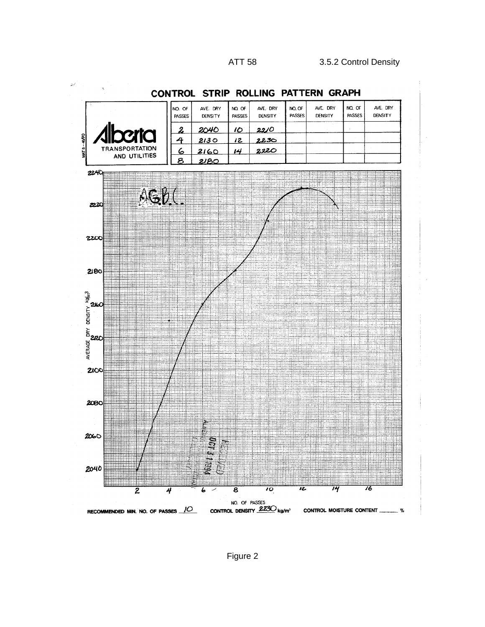لري



CONTROL STRIP ROLLING PATTERN GRAPH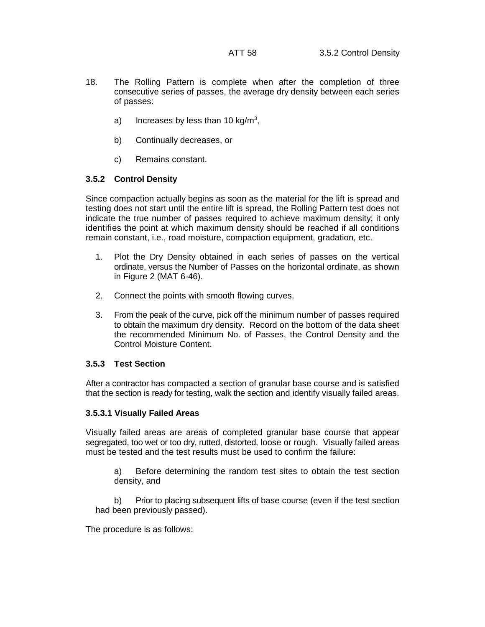- 18. The Rolling Pattern is complete when after the completion of three consecutive series of passes, the average dry density between each series of passes:
	- a) Increases by less than 10 kg/m<sup>3</sup>,
	- b) Continually decreases, or
	- c) Remains constant.

### **3.5.2 Control Density**

Since compaction actually begins as soon as the material for the lift is spread and testing does not start until the entire lift is spread, the Rolling Pattern test does not indicate the true number of passes required to achieve maximum density; it only identifies the point at which maximum density should be reached if all conditions remain constant, i.e., road moisture, compaction equipment, gradation, etc.

- 1. Plot the Dry Density obtained in each series of passes on the vertical ordinate, versus the Number of Passes on the horizontal ordinate, as shown in Figure 2 (MAT 6-46).
- 2. Connect the points with smooth flowing curves.
- 3. From the peak of the curve, pick off the minimum number of passes required to obtain the maximum dry density. Record on the bottom of the data sheet the recommended Minimum No. of Passes, the Control Density and the Control Moisture Content.

### **3.5.3 Test Section**

After a contractor has compacted a section of granular base course and is satisfied that the section is ready for testing, walk the section and identify visually failed areas.

### **3.5.3.1 Visually Failed Areas**

Visually failed areas are areas of completed granular base course that appear segregated, too wet or too dry, rutted, distorted, loose or rough. Visually failed areas must be tested and the test results must be used to confirm the failure:

a) Before determining the random test sites to obtain the test section density, and

b) Prior to placing subsequent lifts of base course (even if the test section had been previously passed).

The procedure is as follows: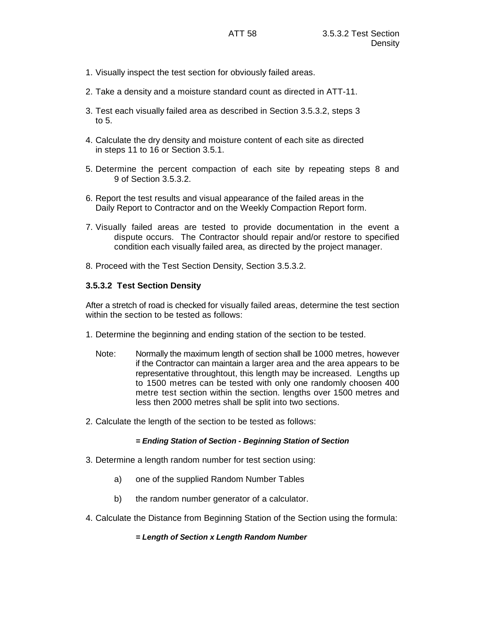- 1. Visually inspect the test section for obviously failed areas.
- 2. Take a density and a moisture standard count as directed in ATT-11.
- 3. Test each visually failed area as described in Section 3.5.3.2, steps 3 to 5.
- 4. Calculate the dry density and moisture content of each site as directed in steps 11 to 16 or Section 3.5.1.
- 5. Determine the percent compaction of each site by repeating steps 8 and 9 of Section 3.5.3.2.
- 6. Report the test results and visual appearance of the failed areas in the Daily Report to Contractor and on the Weekly Compaction Report form.
- 7. Visually failed areas are tested to provide documentation in the event a dispute occurs. The Contractor should repair and/or restore to specified condition each visually failed area, as directed by the project manager.
- 8. Proceed with the Test Section Density, Section 3.5.3.2.

### **3.5.3.2 Test Section Density**

After a stretch of road is checked for visually failed areas, determine the test section within the section to be tested as follows:

- 1. Determine the beginning and ending station of the section to be tested.
	- Note: Normally the maximum length of section shall be 1000 metres, however if the Contractor can maintain a larger area and the area appears to be representative throughtout, this length may be increased. Lengths up to 1500 metres can be tested with only one randomly choosen 400 metre test section within the section. lengths over 1500 metres and less then 2000 metres shall be split into two sections.
- 2. Calculate the length of the section to be tested as follows:

#### *= Ending Station of Section - Beginning Station of Section*

- 3. Determine a length random number for test section using:
	- a) one of the supplied Random Number Tables
	- b) the random number generator of a calculator.
- 4. Calculate the Distance from Beginning Station of the Section using the formula:

#### *= Length of Section x Length Random Number*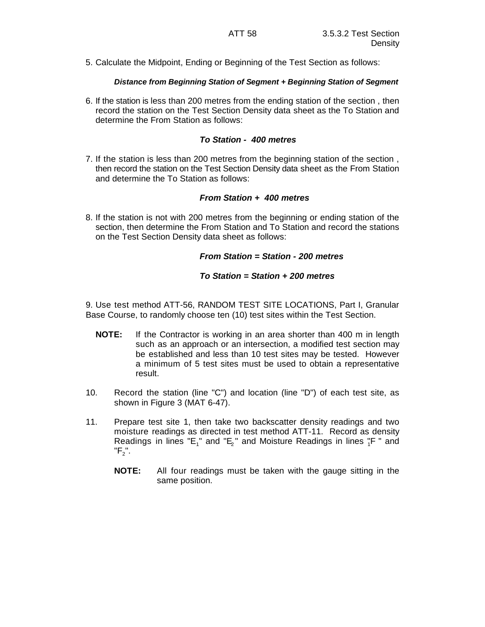5. Calculate the Midpoint, Ending or Beginning of the Test Section as follows:

### *Distance from Beginning Station of Segment + Beginning Station of Segment*

6. If the station is less than 200 metres from the ending station of the section , then record the station on the Test Section Density data sheet as the To Station and determine the From Station as follows:

### *To Station - 400 metres*

7. If the station is less than 200 metres from the beginning station of the section , then record the station on the Test Section Density data sheet as the From Station and determine the To Station as follows:

## *From Station + 400 metres*

8. If the station is not with 200 metres from the beginning or ending station of the section, then determine the From Station and To Station and record the stations on the Test Section Density data sheet as follows:

### *From Station = Station - 200 metres*

## *To Station = Station + 200 metres*

9. Use test method ATT-56, RANDOM TEST SITE LOCATIONS, Part I, Granular Base Course, to randomly choose ten (10) test sites within the Test Section.

- **NOTE:** If the Contractor is working in an area shorter than 400 m in length such as an approach or an intersection, a modified test section may be established and less than 10 test sites may be tested. However a minimum of 5 test sites must be used to obtain a representative result.
- 10. Record the station (line "C") and location (line "D") of each test site, as shown in Figure 3 (MAT 6-47).
- 11. Prepare test site 1, then take two backscatter density readings and two moisture readings as directed in test method ATT-11. Record as density Readings in lines "E<sub>1</sub>" and "E<sub>2</sub>" and Moisture Readings in lines  ${}^{n}_{1}F$ " and  $"F_2"$ .
	- **NOTE:** All four readings must be taken with the gauge sitting in the same position.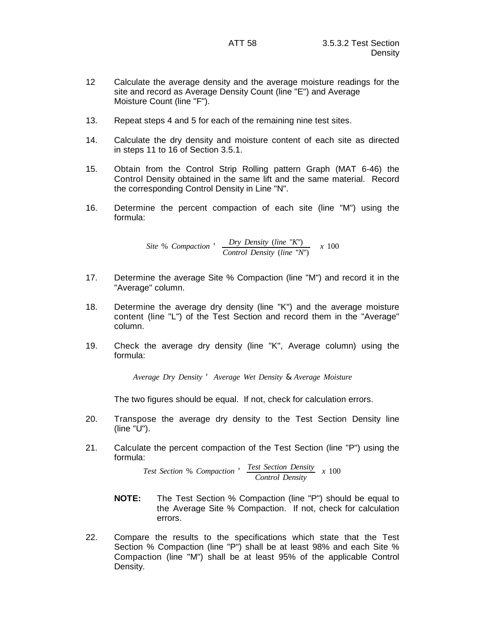- 12 Calculate the average density and the average moisture readings for the site and record as Average Density Count (line "E") and Average Moisture Count (line "F").
- 13. Repeat steps 4 and 5 for each of the remaining nine test sites.
- 14. Calculate the dry density and moisture content of each site as directed in steps 11 to 16 of Section 3.5.1.
- 15. Obtain from the Control Strip Rolling pattern Graph (MAT 6-46) the Control Density obtained in the same lift and the same material. Record the corresponding Control Density in Line "N".
- 16. Determine the percent compaction of each site (line "M") using the formula:

*Site* % *Compaction* ' *Dry Density* (*line* "*K*") *Control Density* (*line* "*N*") *x* 100

- 17. Determine the average Site % Compaction (line "M") and record it in the "Average" column.
- 18. Determine the average dry density (line "K") and the average moisture content (line "L") of the Test Section and record them in the "Average" column.
- 19. Check the average dry density (line "K", Average column) using the formula:

*Average Dry Density* ' *Average Wet Density* & *Average Moisture*

The two figures should be equal. If not, check for calculation errors.

- 20. Transpose the average dry density to the Test Section Density line (line "U").
- 21. Calculate the percent compaction of the Test Section (line "P") using the formula:

*Test Section* % *Compaction* ' *Test Section Density Control Density x* 100

- **NOTE:** The Test Section % Compaction (line "P") should be equal to the Average Site % Compaction. If not, check for calculation errors.
- 22. Compare the results to the specifications which state that the Test Section % Compaction (line "P") shall be at least 98% and each Site % Compaction (line "M") shall be at least 95% of the applicable Control Density.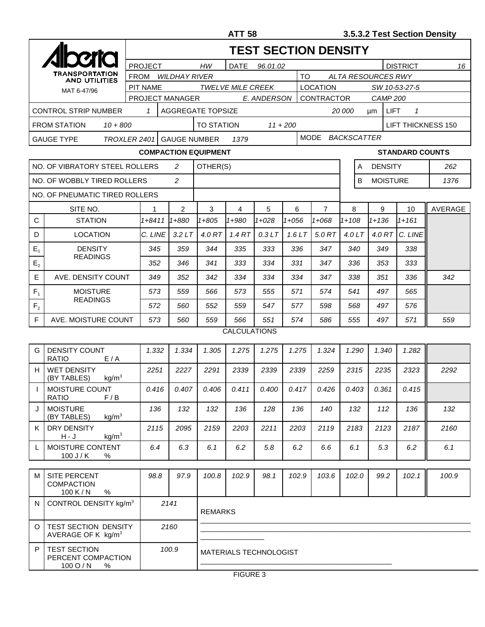|                |                                                               | <b>TEST SECTION DENSITY</b> |                                                  |                          |                               |                                 |           |           |              |                 |                                             |                 |                    |                        |                    |
|----------------|---------------------------------------------------------------|-----------------------------|--------------------------------------------------|--------------------------|-------------------------------|---------------------------------|-----------|-----------|--------------|-----------------|---------------------------------------------|-----------------|--------------------|------------------------|--------------------|
|                | TRANSPORTATION<br><b>AND UTILITIES</b>                        |                             | <b>PROJECT</b><br>HW<br>DATE<br>96.01.02         |                          |                               |                                 |           |           |              |                 | <b>DISTRICT</b><br>16                       |                 |                    |                        |                    |
|                |                                                               |                             | <b>TO</b><br><b>FROM</b><br><b>WILDHAY RIVER</b> |                          |                               |                                 |           |           |              |                 | ALTA RESOURCES RWY                          |                 |                    |                        |                    |
|                | MAT 6-47/96                                                   |                             | <b>PIT NAME</b>                                  |                          |                               | <b>TWELVE MILE CREEK</b>        |           |           |              | <b>LOCATION</b> | SW 10-53-27-5                               |                 |                    |                        |                    |
|                |                                                               | PROJECT MANAGER             | CONTRACTOR<br>E. ANDERSON                        |                          |                               |                                 |           |           |              | <b>CAMP 200</b> |                                             |                 |                    |                        |                    |
|                | <b>CONTROL STRIP NUMBER</b>                                   | $\mathbf{1}$                |                                                  | <b>AGGREGATE TOPSIZE</b> |                               |                                 |           |           |              |                 | $\mathbf{1}$<br>20 000<br><b>LIFT</b><br>μm |                 |                    |                        |                    |
|                | <b>FROM STATION</b><br>$10 + 800$                             |                             |                                                  |                          |                               | <b>TO STATION</b><br>$11 + 200$ |           |           |              |                 |                                             |                 |                    |                        | LIFT THICKNESS 150 |
|                | <b>GAUGE TYPE</b><br>TROXLER 2401                             |                             |                                                  | <b>GAUGE NUMBER</b>      |                               | 1379                            |           |           |              | MODE            |                                             |                 | <b>BACKSCATTER</b> |                        |                    |
|                |                                                               |                             |                                                  |                          | <b>COMPACTION EQUIPMENT</b>   |                                 |           |           |              |                 |                                             |                 |                    | <b>STANDARD COUNTS</b> |                    |
|                | NO. OF VIBRATORY STEEL ROLLERS                                | 2                           | OTHER(S)                                         |                          |                               |                                 |           |           |              | A               | <b>DENSITY</b>                              |                 | 262                |                        |                    |
|                | NO. OF WOBBLY TIRED ROLLERS                                   |                             | $\overline{2}$                                   |                          |                               |                                 |           |           |              |                 | B                                           | <b>MOISTURE</b> |                    | 1376                   |                    |
|                | NO. OF PNEUMATIC TIRED ROLLERS                                |                             |                                                  |                          |                               |                                 |           |           |              |                 |                                             |                 |                    |                        |                    |
|                | SITE NO.                                                      |                             | 1                                                | 2                        | 3                             | 4                               | 5         | 6         |              | $\overline{7}$  |                                             | 8               | 9                  | 10                     | <b>AVERAGE</b>     |
| C              | <b>STATION</b>                                                |                             | $1 + 8411$                                       | 1+880                    | $1 + 805$                     | $1 + 980$                       | $1 + 028$ | $1 + 056$ |              | $1 + 068$       | $1 + 108$                                   |                 | $1 + 136$          | $1 + 161$              |                    |
| D              | LOCATION                                                      |                             | C. LINE                                          | 3.2LT                    | 4.0 RT                        | 1.4 RT                          | 0.3LT     | 1.6LT     |              | 5.0 RT          | 4.0 $LT$                                    |                 | 4.0 RT             | C. LINE                |                    |
| $E_{1}$        | <b>DENSITY</b><br><b>READINGS</b>                             |                             | 345                                              | 359                      | 344                           | 335                             | 333       | 336       |              | 347             |                                             | 340             | 349                | 338                    |                    |
| E <sub>2</sub> |                                                               |                             | 352                                              | 346                      | 341                           | 333                             | 334       | 331       |              | 347             |                                             | 336             | 353                | 333                    |                    |
| Е              | AVE. DENSITY COUNT                                            |                             | 349                                              | 352                      | 342                           | 334                             | 334       | 334       |              | 347             | 338                                         |                 | 351                | 336                    | 342                |
| $F_{1}$        | <b>MOISTURE</b><br><b>READINGS</b>                            |                             | 573                                              | 559                      | 566                           | 573                             | 555       |           | 571<br>574   |                 | 541                                         |                 | 497                | 565                    |                    |
| F <sub>2</sub> |                                                               |                             | 572<br>560                                       |                          | 552                           | 559                             | 547       |           | 577          | 598             | 568                                         |                 | 497                | 576                    |                    |
| F              | AVE. MOISTURE COUNT                                           |                             | 573                                              | 560                      | 559                           | 566                             | 551       | 574       |              | 586             | 555                                         |                 | 497                | 571                    | 559                |
|                |                                                               |                             |                                                  |                          |                               | <b>CALCULATIONS</b>             |           |           |              |                 |                                             |                 |                    |                        |                    |
| G              | DENSITY COUNT<br><b>RATIO</b><br>E/A                          |                             | 1.332                                            | 1.334                    | 1.305                         | 1.275                           | 1.275     | 1.275     |              | 1.324           |                                             | 1.290           | 1.340              | 1.282                  |                    |
| н              | <b>WET DENSITY</b><br>(BY TABLES)<br>kq/m <sup>3</sup>        |                             | 2251                                             | 2227                     | 2291                          | 2339                            | 2339      | 2339      |              | 2259            |                                             | 2315            | 2235               | 2323                   | 2292               |
|                | <b>MOISTURE COUNT</b><br>RATIO<br>F/B                         |                             | 0.416                                            | 0.407                    | 0.406                         | 0.411                           | 0.400     | 0.417     |              | 0.426           |                                             | 0.403           | 0.361              | 0.415                  |                    |
| J              | <b>MOISTURE</b><br>kg/m <sup>3</sup><br>(BY TABLES)           |                             |                                                  | 132                      | 132                           | 136                             | 128       | 136       |              | 140             |                                             | 132             | 112                | 136                    | 132                |
| K I            | DRY DENSITY<br>kg/m <sup>3</sup><br>$H - J$                   |                             | 2115                                             | 2095                     | 2159                          | 2203                            | 2211      |           | 2203<br>2119 |                 |                                             | 2183            | 2123               | 2187                   | 2160               |
| L              | MOISTURE CONTENT<br>$100$ J / K<br>%                          |                             | 6.4                                              | 6.3                      | 6.1                           | 6.2                             | 5.8       |           | 6.2<br>6.6   |                 | 6.1<br>5.3                                  |                 | 6.2                | 6.1                    |                    |
| м              | SITE PERCENT<br><b>COMPACTION</b><br>100 K/N<br>%             |                             | 98.8                                             | 97.9                     | 100.8                         | 102.9                           | 98.1      | 102.9     |              | 103.6           |                                             | 102.0           | 99.2               | 102.1                  | 100.9              |
| N              | CONTROL DENSITY kg/m <sup>3</sup>                             |                             |                                                  | 2141                     | <b>REMARKS</b>                |                                 |           |           |              |                 |                                             |                 |                    |                        |                    |
| O              | TEST SECTION DENSITY<br>AVERAGE OF K $kg/m3$                  |                             |                                                  | 2160                     |                               |                                 |           |           |              |                 |                                             |                 |                    |                        |                    |
| P              | <b>TEST SECTION</b><br>PERCENT COMPACTION<br>$100$ O / N<br>% |                             |                                                  | 100.9                    | <b>MATERIALS TECHNOLOGIST</b> |                                 |           |           |              |                 |                                             |                 |                    |                        |                    |